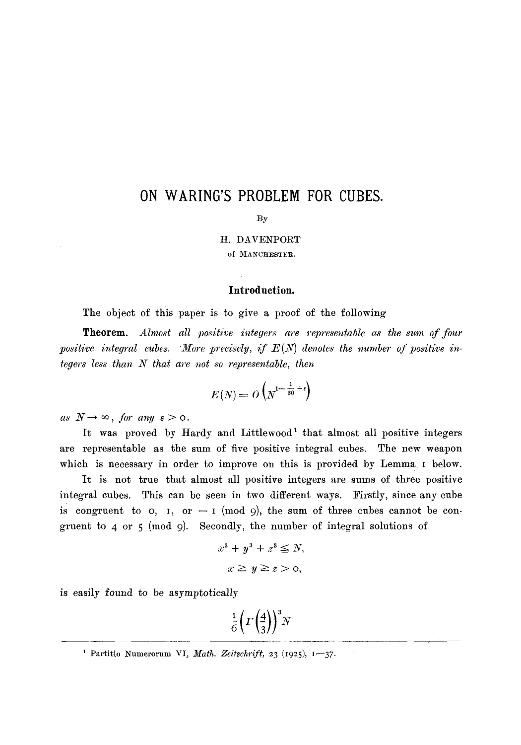# **ON WARING'S PROBLEM FOR CUBES.**

#### **By**

H. DAVENPORT

of MANCHESTER.

#### **Introduction.**

The object of this paper is to give a proof of the following

Theorem. *Almost all positive integers are representable as the sum of four*  positive integral cubes. More precisely, if  $E(N)$  denotes the number of positive in*tegers less than N that are not so representable, then* 

$$
E(N) = O\left(N^{1-\frac{1}{30}+\epsilon}\right)
$$

 $as N \rightarrow \infty$ , for any  $\varepsilon > 0$ .

It was proved by Hardy and Littlewood<sup>1</sup> that almost all positive integers are representable as the sum of five positive integral cubes. The new weapon which is necessary in order to improve on this is provided by Lemma I below.

It is not true that almost all positive integers are sums of three positive integral cubes. This can be seen in two different ways. Firstly, since any cube is congruent to  $o$ ,  $I$ , or  $-I \pmod{9}$ , the sum of three cubes cannot be congruent to 4 or 5 (mod 9). Secondly, the number of integral solutions of

$$
x^3 + y^3 + z^3 \leq N,
$$
  

$$
x \geq y \geq z > 0,
$$

is easily found to be asymptotically

$$
\frac{1}{6}\left(\Gamma\left(\frac{4}{3}\right)\right)^3 N
$$

<sup>&</sup>lt;sup>1</sup> Partitio Numerorum VI, *Math. Zeitschrift*, 23 (1925), 1-37.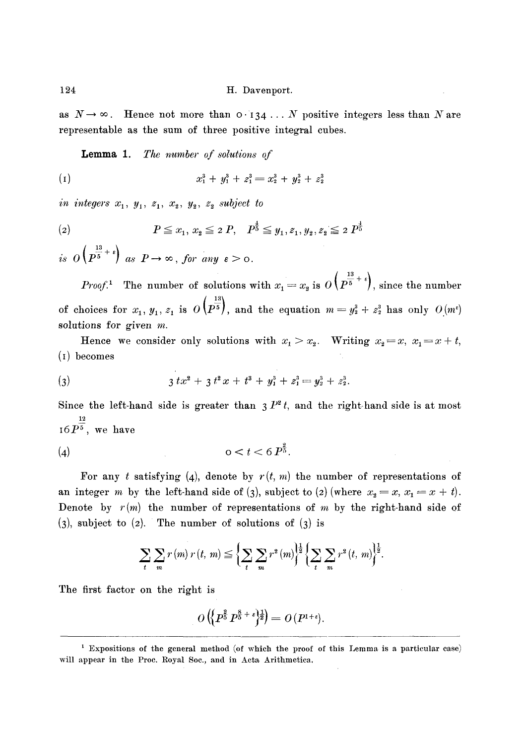as  $N \to \infty$ . Hence not more than  $0.134...$  N positive integers less than N are representable as the sum of three positive integral cubes.

Lemma 1. *The number of solutions of* 

$$
(1) \t x_1^3 + y_1^3 + z_1^3 = x_2^3 + y_2^3 + z_2^3
$$

*in integers*  $x_1$ ,  $y_1$ ,  $z_1$ ,  $x_2$ ,  $y_2$ ,  $z_2$  subject to

(2) 
$$
P \le x_1, x_2 \le 2 P, P^{\frac{1}{5}} \le y_1, z_1, y_2, z_2 \le 2 P^{\frac{1}{5}}
$$

is  $o\left(p^{\frac{13}{5}+i}\right)$  as  $P\to\infty$ , for any  $\varepsilon > 0$ .

*Proof.*<sup>1</sup> The number of solutions with  $x_1 = x_2$  is  $O\left(P^{\frac{13}{5} + \epsilon}\right)$ , since the number of choices for  $x_1, y_1, z_1$  is  $O\left(p^{-\frac{13}{5}}\right)$ , and the equation  $m=y_2^3+z_2^3$  has only  $O(m^5)$ solutions for given  $m$ .

Hence we consider only solutions with  $x_1 > x_2$ . Writing  $x_2 = x, x_1 = x + t$ , (I) becomes

(3) 
$$
3 tx^2 + 3 t^2 x + t^3 + y_1^3 + z_1^3 = y_2^3 + z_2^3.
$$

Since the left-hand side is greater than  $3 P^{2} t$ , and the right-hand side is at most 12  $16P^5\,,\,$  we have

$$
(4) \qquad \qquad \text{or} \qquad t < 6 \, P^{\frac{3}{5}}.
$$

For any t satisfying (4), denote by  $r(t, m)$  the number of representations of an integer m by the left-hand side of (3), subject to (2) (where  $x_2 = x, x_1 = x + t$ ). Denote by  $r(m)$  the number of representations of m by the right-hand side of  $(3)$ , subject to  $(2)$ . The number of solutions of  $(3)$  is

$$
\sum_{t} \sum_{m} r(m) r(t, m) \leq \left\{ \sum_{t} \sum_{m} r^{2}(m) \right\}^{\frac{1}{2}} \left\{ \sum_{t} \sum_{m} r^{2}(t, m) \right\}^{\frac{1}{2}}.
$$

The first factor on the right is

$$
O\left(\left\{P^{\frac{2}{5}}P^{\frac{8}{5}+\epsilon}\right\}^{\frac{1}{2}}\right)=O\left(P^{1+\epsilon}\right).
$$

<sup>1</sup> Expositions of the general method (of which the proof of this Lemma is a particular case) will appear in the Proc. Royal Soc., and in Acta Arithmetica.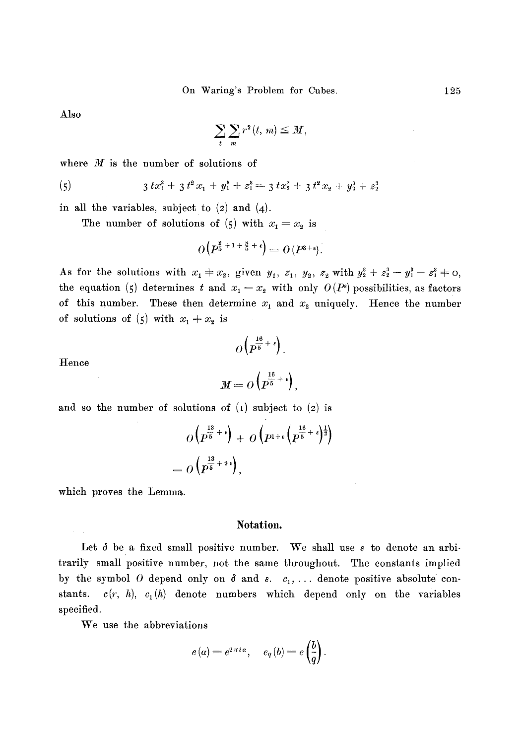Also

$$
\sum_t \sum_m r^2(t, m) \leq M,
$$

where  $M$  is the number of solutions of

(5) 
$$
3 t x_1^2 + 3 t^2 x_1 + y_1^3 + z_1^3 = 3 t x_2^2 + 3 t^2 x_2 + y_2^3 + z_2^3
$$

in all the variables, subject to  $(2)$  and  $(4)$ .

The number of solutions of (5) with  $x_1 = x_2$  is

$$
O\left(P^{\frac{2}{5}+1+\frac{8}{5}+\epsilon}\right)=O\left(P^{3+\epsilon}\right).
$$

As for the solutions with  $x_1 + x_2$ , given  $y_1, z_1, y_2, z_2$  with  $y_2^3 + z_2^3 - y_1^3 - z_1^3 + o$ , the equation (5) determines t and  $x_1 - x_2$  with only  $O(P^{\epsilon})$  possibilities, as factors of this number. These then determine  $x_1$  and  $x_2$  uniquely. Hence the number of solutions of (5) with  $x_1 + x_2$  is

$$
O\left(P^{\frac{16}{5}+\epsilon}\right).
$$

Hence

$$
M=O\left(P^{\frac{16}{5}+\epsilon}\right),\,
$$

and so the number of solutions of  $(I)$  subject to  $(2)$  is

$$
O\left(P^{\frac{13}{5}+\epsilon}\right) + O\left(P^{1+\epsilon}\left(P^{\frac{16}{5}+\epsilon}\right)^{\frac{1}{2}}\right)
$$
  
=  $O\left(P^{\frac{13}{5}+2\epsilon}\right)$ ,

which proves the Lemma.

#### **Notation.**

Let  $\delta$  be a fixed small positive number. We shall use  $\varepsilon$  to denote an arbitrarily small positive number, not the same throughout. The constants implied by the symbol O depend only on  $\delta$  and  $\varepsilon$ .  $c_1, \ldots$  denote positive absolute constants.  $c(r, h)$ ,  $c_1(h)$  denote numbers which depend only on the variables specified.

We use the abbreviations

$$
e(\alpha) = e^{2\pi i \alpha}, \quad e_q(b) = e\left(\frac{b}{q}\right).
$$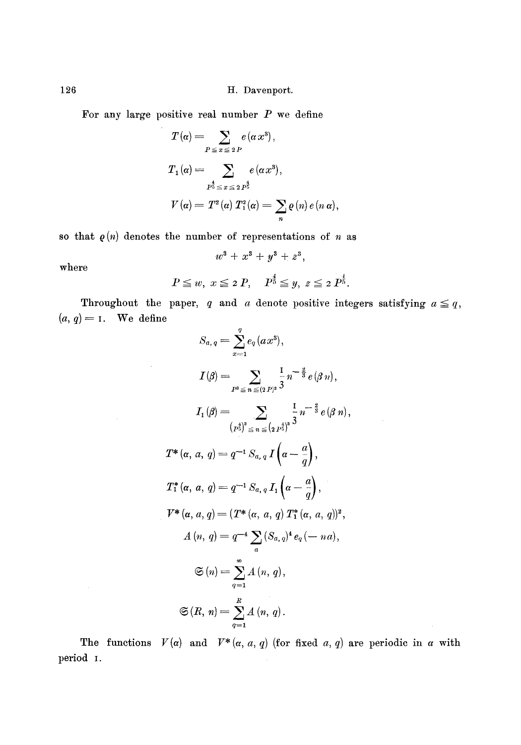For any large positive real number  $P$  we define

$$
T(\alpha) = \sum_{P \le x \le 2P} e(\alpha x^3),
$$
  
\n
$$
T_1(\alpha) = \sum_{P^{\frac{4}{5}} \le x \le 2P^{\frac{4}{5}}} e(\alpha x^3),
$$
  
\n
$$
V(\alpha) = T^2(\alpha) T_1^2(\alpha) = \sum_n \varrho(n) e(n \alpha),
$$

so that  $\rho(n)$  denotes the number of representations of n as

 $\bar{z}$ 

$$
w^3 + x^3 + y^3 + z^3,
$$

where

$$
P \leq w, x \leq 2 P, P^{\frac{4}{5}} \leq y, z \leq 2 P^{\frac{1}{5}}.
$$

Throughout the paper, q and a denote positive integers satisfying  $a \leq q$ ,  $(a, q) = 1$ . We define

$$
S_{a,q} = \sum_{x=1}^{q} e_q(ax^3),
$$
  
\n
$$
I(\beta) = \sum_{P^3 \leq n} \frac{1}{\leq (2P)^3} \frac{1}{3} n^{-\frac{3}{3}} e(\beta n),
$$
  
\n
$$
I_1(\beta) = \sum_{\substack{P^{\frac{4}{3}} \leq n \leq (2P^{\frac{4}{3}})^8}} \frac{1}{3} n^{-\frac{3}{3}} e(\beta n),
$$
  
\n
$$
T^*(\alpha, a, q) = q^{-1} S_{a,q} I(\alpha - \frac{a}{q}),
$$
  
\n
$$
T^*(\alpha, a, q) = q^{-1} S_{a,q} I_1(\alpha - \frac{a}{q}),
$$
  
\n
$$
V^*(\alpha, a, q) = (T^*(\alpha, a, q) T^*_1(\alpha, a, q))^2,
$$
  
\n
$$
A(n, q) = q^{-4} \sum_{a} (S_{a,q})^4 e_q(-na),
$$
  
\n
$$
\mathfrak{S}(n) = \sum_{q=1}^{\infty} A(n, q),
$$
  
\n
$$
\mathfrak{S}(R, n) = \sum_{q=1}^{R} A(n, q).
$$

 $\bar{z}$ 

The functions  $V(\alpha)$  and  $V^*(\alpha, a, q)$  (for fixed a, q) are periodic in a with period I.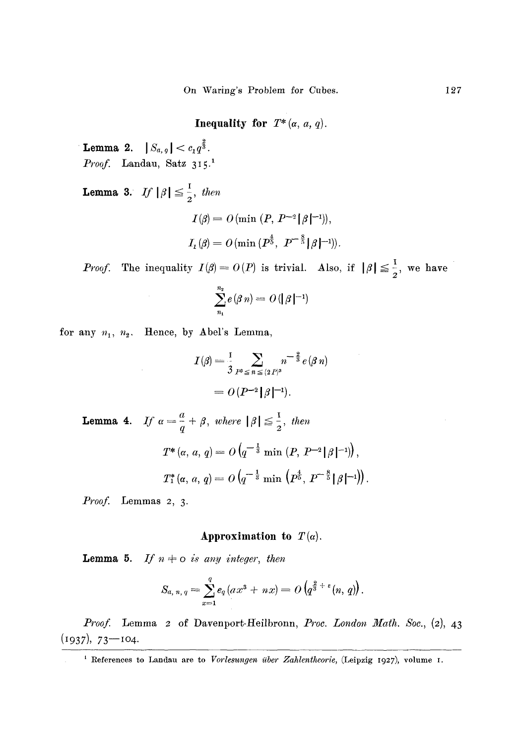**Inequality for**  $T^*(\alpha, a, q)$ .

**Lemma 2.**  $|S_{a, g}| < c_1 q^{\frac{2}{3}}$ . *Proof.* Landau, Satz 315.1

**Lemma 3.** *If*  $|\beta| \leq \frac{1}{2}$ , then  $I(\beta) = O(\min (P, P^{-2}|\beta|^{-1})),$  $I_1(\beta) = O(\min\{P^{\frac{4}{5}},\ P^{-\frac{8}{5}}\|\beta\}^{-1})).$ 

*Proof.* The inequality  $I(\beta) = O(P)$  is trivial. Also, if  $|\beta| \leq \frac{1}{2}$ , we have

$$
\sum_{n_1}^{n_2} e(\beta n) = O(|\beta|^{-1})
$$

for any  $n_1$ ,  $n_2$ . Hence, by Abel's Lemma,

$$
I(\beta) = \frac{1}{3} \sum_{P^3 \le n \le (2P)^3} n^{-\frac{2}{3}} e(\beta n)
$$
  
=  $O(P^{-2}|\beta|^{-1}).$ 

**Lemma 4.** If  $\alpha = \frac{a}{q} + \beta$ , where  $|\beta| \leq \frac{1}{2}$ , then  $T^*(\alpha, a, q) = O(q^{-\frac{1}{3}} \min (P, P^{-2}|\beta|^{-1}))$  $T^*_1(\alpha, a, q) = O\left(q^{-\frac{1}{3}} \min\left(p_0^4, p^{-\frac{8}{5}} \lfloor \beta \rfloor^{-1}\right)\right).$ 

*Proof.* Lemmas 2, 3.

## **Approximation to**  $T(\alpha)$ .

**Lemma 5.** If  $n \neq o$  is any integer, then

$$
S_{a, n, q} = \sum_{x=1}^{q} e_q (ax^3 + nx) = O\left(q^{\frac{2}{3} + \epsilon}(n, q)\right).
$$

*Proof.* Lemma 2 of Davenport-Heilbronn, *Proc. London Math. Soc.*, (2), 43  $(1937), 73 - 104.$ 

<sup>1</sup> References to Landau are to *Vorlesungen über Zahlentheorie*, (Leipzig 1927), volume I.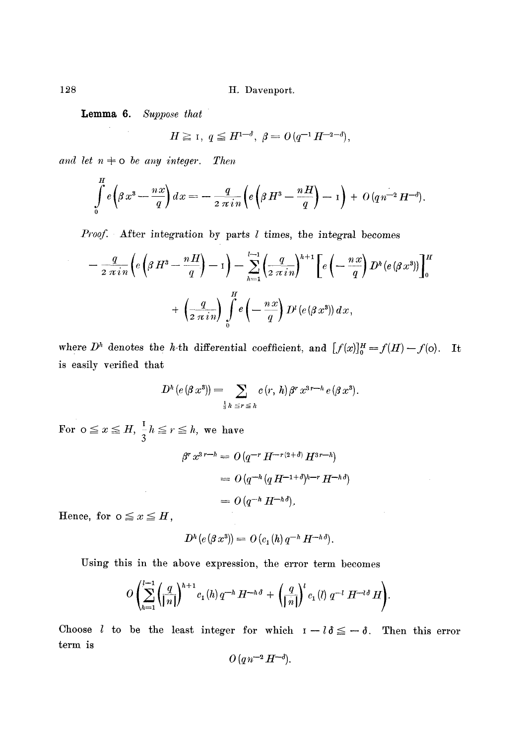**Lemma 6.**  *Suppose that* 

$$
H \ge 1, \ q \le H^{1-\delta}, \ \beta = O(q^{-1} H^{-2-\delta}),
$$

and let  $n \neq o$  be any integer. Then

$$
\int\limits_0^H e\left(\beta x^3 - \frac{n x}{q}\right) dx = -\frac{q}{2 \pi i n} \left(e\left(\beta H^3 - \frac{n H}{q}\right) - 1\right) + O(q n^{-2} H^{-\delta}).
$$

*Proof.* After integration by parts 1 times, the integral becomes

$$
-\frac{q}{2 \pi i n} \left(e\left(\beta H^3 - \frac{nH}{q}\right) - 1\right) - \sum_{h=1}^{l-1} \left(\frac{q}{2 \pi i n}\right)^{h+1} \left[e\left(-\frac{nx}{q}\right) D^h(e(\beta x^3))\right]_0^H
$$

$$
+ \left(\frac{q}{2 \pi i n}\right) \int_0^H e\left(-\frac{nx}{q}\right) D^l(e(\beta x^3)) dx,
$$

where  $D^h$  denotes the h-th differential coefficient, and  $[f(x)]_0^H=f(H)-f(0)$ . It is easily verified that

$$
D^{h}(e(\beta x^{3})) = \sum_{\frac{1}{3}h \leq r \leq h} c(r, h) \beta^{r} x^{3r-h} e(\beta x^{3}).
$$

For  $o \le x \le H$ ,  $-h \le r \le h$ , we have 3

 $\bar{z}$ 

$$
\beta^r x^{3r-h} = O(q^{-r} H^{-r(2+\delta)} H^{3r-h})
$$
  
= 
$$
O(q^{-h} (q H^{-1+\delta})^{h-r} H^{-h\delta})
$$
  
= 
$$
O(q^{-h} H^{-h\delta}).
$$

Hence, for  $0 \le x \le H$ ,

$$
D^h(e(\beta x^3))=O(c_1(h)q^{-h}H^{-h\delta}).
$$

Using this in the above expression, the error term becomes

$$
O\left(\sum_{h=1}^{l-1} \left(\frac{q}{\vert n\vert}\right)^{h+1} c_1(h) q^{-h} H^{-h\delta} + \left(\frac{q}{\vert n\vert}\right)^{l} c_1(l) q^{-l} H^{-l\delta} H\right).
$$

Choose *l* to be the least integer for which  $I - l \delta \leq -\delta$ . Then this error term is

$$
O\left(q\,n^{-2}\,H^{-\delta}\right).
$$

128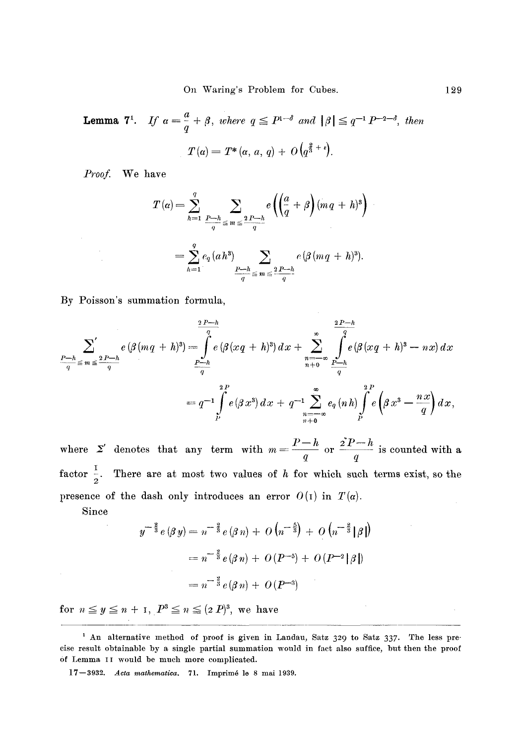**Lemma 7<sup>1</sup>.** If 
$$
\alpha = \frac{a}{q} + \beta
$$
, where  $q \le P^{1-\delta}$  and  $|\beta| \le q^{-1} P^{-2-\delta}$ , then  

$$
T(\alpha) = T^*(\alpha, a, q) + O(q^{\frac{2}{3} + \epsilon}).
$$

*Proof.* We have

$$
T(\alpha) = \sum_{h=1}^{q} \sum_{\frac{P-h}{q} \leq m \leq \frac{2P-h}{q}} e\left(\left(\frac{a}{q} + \beta\right)(mq + h)^{3}\right)
$$
  
= 
$$
\sum_{h=1}^{q} e_{q}(ah^{3}) \sum_{\frac{P-h}{q} \leq m \leq \frac{2P-h}{q}} e\left(\beta(mq + h)^{3}\right).
$$

**By Poisson's summation formula,** 

$$
\sum_{\frac{P-h}{q} \leq m \leq \frac{2P-h}{q}}^{q} e(\beta(mq+h)^{3}) = \int_{\frac{P-h}{q}}^{q} e(\beta(xq+h)^{3}) dx + \sum_{\frac{n=-\infty}{q} \leq m \leq \frac{P-h}{q}}^{q} e(\beta(xq+h)^{3}-nx) dx
$$
  
= 
$$
q^{-1} \int_{P}^{2P} e(\beta x^{3}) dx + q^{-1} \sum_{\frac{n=-\infty}{q} \leq q}^{q} e(\gamma h) \int_{P}^{2P} e(\beta x^{3}-\frac{nx}{q}) dx,
$$

where  $\Sigma'$  denotes that any term with  $m=\frac{P-h}{q}$  or  $\frac{2P-h}{q}$  is counted with a factor  $\frac{1}{2}$ . There are at most two values of h for which such terms exist, so the presence of the dash only introduces an error  $O(1)$  in  $T(\alpha)$ .

**Since** 

$$
y^{-\frac{3}{3}}e(\beta y) = n^{-\frac{3}{3}}e(\beta n) + O(n^{-\frac{5}{3}}) + O(n^{-\frac{3}{3}}|\beta|)
$$
  
=  $n^{-\frac{3}{3}}e(\beta n) + O(P^{-5}) + O(P^{-2}|\beta|)$   
=  $n^{-\frac{3}{3}}e(\beta n) + O(P^{-3})$ 

**for**  $n \leq y \leq n + 1$ ,  $P^3 \leq n \leq (2 P)^3$ , we have

<sup>&</sup>lt;sup>1</sup> An alternative method of proof is given in Landau, Satz 329 to Satz 337. The less pre**cise result obtainable by a single partial summation would in fact also suffice, but then the proof**  of Lemma II would be much more complicated.

**<sup>]7--3932.</sup>** *Acta mathematica.* **71. Imprim6 le 8 rnai 1939.**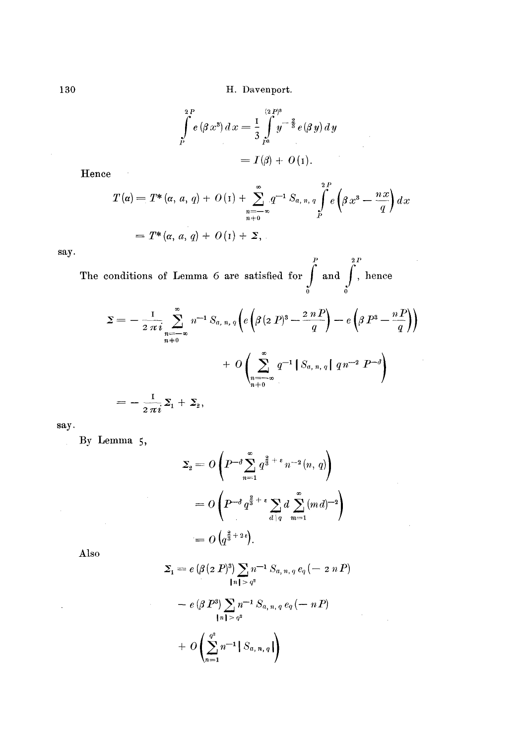$$
\int_{P}^{2P} e(\beta x^{3}) dx = \frac{1}{3} \int_{P^{3}}^{(2P)^{3}} y^{-\frac{2}{3}} e(\beta y) dy
$$
  
=  $I(\beta) + O(1)$ .

**Hence** 

 $\bar{\beta}$ 

$$
T(\alpha) = T^*(\alpha, a, q) + O(1) + \sum_{\substack{n=-\infty\\n+0}}^{\infty} q^{-1} S_{a, n, q} \int_P^{2P} e\left(\beta x^3 - \frac{nx}{q}\right) dx
$$
  
=  $T^*(\alpha, a, q) + O(1) + \Sigma,$ 

say.

 $P$  2 P The conditions of Lemma 6 are satisfied for  $\int$  and  $\int$ , hence 0 o

$$
\Sigma = -\frac{1}{2 \pi i} \sum_{\substack{n=-\infty \\ n \neq 0}}^{\infty} n^{-1} S_{a, n, q} \left( e \left( \beta (2 P)^3 - \frac{2 n P}{q} \right) - e \left( \beta P^3 - \frac{n P}{q} \right) \right) + O \left( \sum_{\substack{n=-\infty \\ n \neq 0}}^{\infty} q^{-1} \left[ S_{a, n, q} \right] q n^{-2} P^{-d} \right) = -\frac{1}{2 \pi i} \Sigma_1 + \Sigma_2,
$$

**say.** 

By Lemma 5,

$$
\Sigma_2 = O\left(P^{-\delta} \sum_{n=1}^{\infty} q^{\frac{3}{3} + \epsilon} n^{-2} (n, q)\right)
$$
  
=  $O\left(P^{-\delta} q^{\frac{3}{3} + \epsilon} \sum_{d \mid q} d \sum_{m=1}^{\infty} (md)^{-2}\right)$   
=  $O\left(q^{\frac{3}{3} + 2\epsilon}\right).$ 

**Also** 

 $\mathbb{R}^2$ 

$$
\Sigma_{1} = e \left( \beta (2 P)^{3} \right) \sum_{\{n\} \geq q^{2}} n^{-1} S_{a, n, q} e_{q} (-2 n P)
$$
  
-  $e \left( \beta P^{3} \right) \sum_{\{n\} > q^{2}} n^{-1} S_{a, n, q} e_{q} (-n P)$   
+  $O \left( \sum_{n=1}^{q^{2}} n^{-1} S_{a, n, q} \right)$ 

 $\sim$   $\sim$ 

 $\ddot{\phantom{a}}$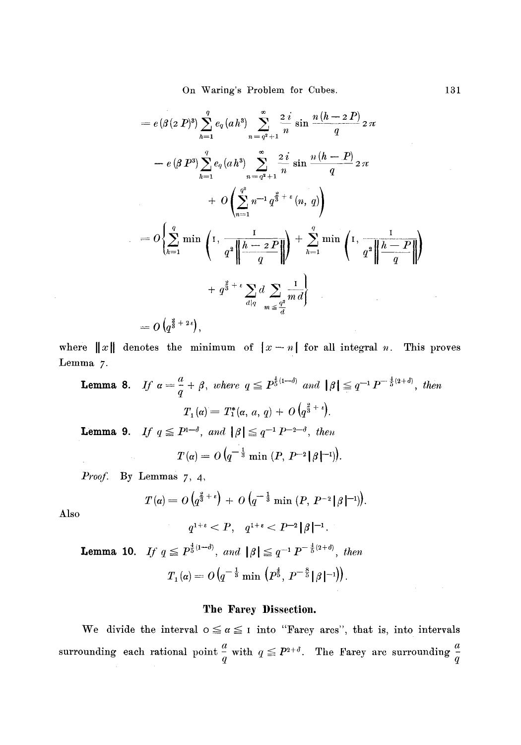$$
= e(\beta (2 P)^3) \sum_{h=1}^{q} e_q (ah^3) \sum_{n=q^2+1}^{\infty} \frac{2 i}{n} \sin \frac{n (h-2 P)}{q} 2 \pi
$$
  
\n
$$
- e(\beta P^3) \sum_{h=1}^{q} e_q (ah^3) \sum_{n=q^2+1}^{\infty} \frac{2 i}{n} \sin \frac{n (h-P)}{q} 2 \pi
$$
  
\n
$$
+ O\left(\sum_{n=1}^{q^3} n^{-1} q^{\frac{2}{3}+\epsilon} (n, q)\right)
$$
  
\n
$$
= O\left\{\sum_{h=1}^{q} \min \left(1, \frac{1}{q^2 \left\|\frac{h-2 P}{q}\right\|}\right) + \sum_{h=1}^{q} \min \left(1, \frac{1}{q^2 \left\|\frac{h-P}{q}\right\|}\right) + q^{\frac{2}{3}+\epsilon} \sum_{d|q} d \sum_{m \leq \frac{q^3}{d}} \frac{1}{m d}\right\}
$$
  
\n
$$
= O\left(q^{\frac{2}{3}+2\epsilon}\right),
$$

where  $||x||$  denotes the minimum of  $|x - n|$  for all integral *n*. This proves Lemma 7.

**Lemma 8.** If  $a = \frac{a}{q} + \beta$ , where  $q \leq P^{\frac{1}{5}(1-\delta)}$  and  $|\beta| \leq q^{-1} P^{-\frac{1}{5}(2+\delta)}$ , then **Lemma 9.** If  $q \leq P^{1-\delta}$ , and  $|\beta| \leq q^{-1} P^{-2-\delta}$ , then  $T_1(\alpha) = T_1^*(\alpha, a, q) + O(q^{\frac{3}{3} + \epsilon}).$  $T(\alpha) = O(q^{-\frac{1}{3}} \min (P, P^{-2}|\beta|^{-1})).$ 

*Proof.*  By Lemmas 7, 4,

$$
T(\alpha) = O\left(q^{\frac{2}{3}+\epsilon}\right) + O\left(q^{-\frac{1}{3}}\min\left(P, P^{-2}|\beta|^{-1}\right)\right).
$$

Also

$$
q^{1+\epsilon} < P, \quad q^{1+\epsilon} < P^{-2} \|\beta\|^{-1}.
$$
\n**Lemma 10.** If  $q \leq P^{\frac{1}{5}(1-\delta)}$ , and  $\|\beta\| \leq q^{-1} P^{-\frac{1}{5}(2+\delta)}$ , then

$$
T_1(\alpha) = O\left(q^{-\frac{1}{3}}\min\left(P^{\frac{4}{5}},\,P^{-\frac{8}{5}}\lfloor\beta\,\vert^{-1}\right)\right).
$$

#### **The Farey Dissection.**

We divide the interval  $0 \le \alpha \le 1$  into "Farey arcs", that is, into intervals surrounding each rational point  $\frac{a}{q}$  with  $q \leq P^{2+\delta}$ . The Farey arc surrounding  $\frac{a}{a}$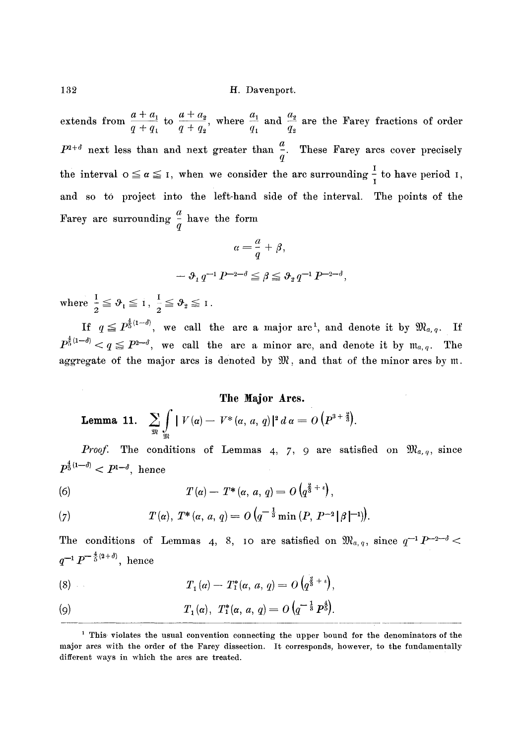extends from  $\frac{a}{a}$  to  $\frac{a}{a}$ , where  $\frac{a}{a}$  and  $\frac{a}{a}$  are the Farey fractions of order  $q + q_1$   $q + q_2$   $q_1$   $q_2$  $P^{z+a}$  next less than and next greater than  $\frac{1}{q}$ . These Farey arcs cover precisely the interval  $o \leq a \leq I$ , when we consider the arc surrounding  $\frac{1}{I}$  to have period  $I$ , and so to project into the left-hand side of the interval. The points of the Farey are surrounding  $\frac{1}{q}$  have the form

$$
\label{eq:alpha} a = \frac{a}{q} + \beta,
$$
  

$$
\quad - \vartheta_1 \, q^{-1} \, P^{-2-\delta} \leq \beta \leq \vartheta_2 \, q^{-1} \, P^{-2-\delta},
$$

where  $\frac{1}{n} \leq \vartheta$ ,  $\leq 1, \frac{1}{n} \leq \vartheta$ ,  $\leq 1$  $2$   $2$ 

If  $q \leq P_5^{\frac{4}{5}(1-d)}$ , we call the arc a major arc<sup>1</sup>, and denote it by  $\mathfrak{M}_{a,q}$ . If  $P^{\frac{4}{5}(1-\delta)} < q \leq P^{2-\delta}$ , we call the arc a minor arc, and denote it by  $\mathfrak{m}_{a,\,q}$ . The aggregate of the major arcs is denoted by  $\mathfrak{M}$ , and that of the minor arcs by  $\mathfrak{m}$ .

## **The Major Ares.**

**Lemma 11.** 
$$
\sum_{\mathfrak{M}} \int_{\mathfrak{M}} |V(\alpha) - V^*(\alpha, a, q)|^2 d\alpha = O\left(P^{3+\frac{3}{3}}\right).
$$

*Proof.* The conditions of Lemmas 4, 7, 9 are satisfied on  $\mathfrak{M}_{a,q}$ , since  $P^{\frac{4}{5}(1-d)} < P^{1-\delta}$ , hence

(6) 
$$
T(\alpha) - T^*(\alpha, a, q) = O\left(q^{\frac{3}{8} + \epsilon}\right),
$$

(7) 
$$
T(\alpha), T^*(\alpha, a, q) = O\left(q^{-\frac{1}{3}}\min\left(P, P^{-2}|\beta|^{-1}\right)\right).
$$

The conditions of Lemmas 4, 8, 10 are satisfied on  $\mathfrak{M}_{a,q}$ , since  $q^{-1}P^{-2-d}$ .  $q^{-1}P^{-\frac{a}{5}(2+\delta)}, \text{ hence}$ 

(8) 
$$
T_1(a) - T_1^*(a, a, q) = O(q^{\frac{3}{8} + \epsilon}),
$$

(9) 
$$
T_1(\alpha), T_1^*(\alpha, a, q) = O\left(q^{-\frac{1}{3}} P^{\frac{4}{5}}\right).
$$

<sup>&</sup>lt;sup>1</sup> This violates the usual convention connecting the upper bound for the denominators of the major arcs with the order of the Farey dissection. It corresponds, however, to the fundamentally different ways in which the arcs are treated.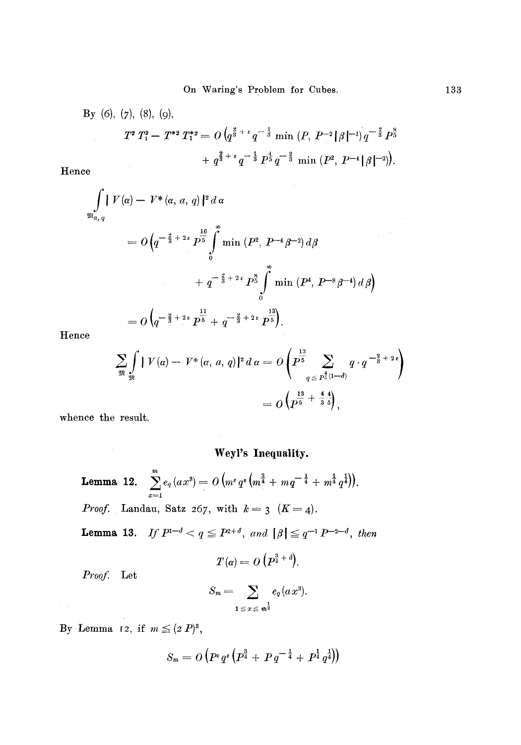By (6), (7), (8), (9),  
\n
$$
T^{2}T_{1}^{2}-T^{*2}T_{1}^{*2}=O(q^{\frac{3}{8}+\epsilon}q^{-\frac{1}{3}}\min(P, P^{-2}|\beta|^{-1})q^{-\frac{2}{3}}P_{2}^{8}+q^{\frac{2}{3}+\epsilon}q^{-\frac{1}{3}}P_{2}^{4}q^{-\frac{2}{3}}\min(P^{2}, P^{-4}|\beta|^{-2})).
$$
\nace

Hen

$$
\iint_{\mathfrak{B}_{a,q}} V(\alpha) - V^* (\alpha, a, q) |^2 d \alpha
$$
  
=  $O\left(q^{-\frac{2}{3} + 2\epsilon} P^{\frac{16}{5}} \int_0^{\infty} \min (P^2, P^{-4} \beta^{-2}) d\beta + q^{-\frac{3}{2} + 2\epsilon} P^{\frac{8}{5}} \int_0^{\infty} \min (P^4, P^{-8} \beta^{-4}) d \beta\right)$   
=  $O\left(q^{-\frac{2}{3} + 2\epsilon} P^{\frac{11}{5}} + q^{-\frac{2}{3} + 2\epsilon} P^{\frac{13}{5}}\right).$ 

Hence

$$
\sum_{\mathfrak{M}} \int_{\mathfrak{M}} |V(a) - V^*(a, a, q)|^2 d\,a = O\left(P^{\frac{13}{5}} \sum_{q \leq P^{\frac{4}{5}(1-\delta)}} q \cdot q^{-\frac{2}{3}+2\epsilon}\right)
$$
  
=  $O\left(P^{\frac{13}{5} + \frac{4}{3}\frac{4}{5}}\right),$ 

whence the result.

## **Weyl's Inequality.**

**Lemma 12.**  $\sum_{x=1}^{m} e_q(ax^3) = O(m^e q^e (m^{\frac{3}{4}} + mq^{-\frac{1}{4}} + m^{\frac{1}{4}} q^{\frac{1}{4}})).$ *Proof.* Landau, Satz 267, with  $k=3$   $(K=4)$ .

**Lemma 13.** *If*  $P^{1-\delta} < q \le P^{2+\delta}$ , and  $|\beta| \le q^{-1} P^{-2-\delta}$ , then

$$
T(\alpha) = O\left(P^{\frac{3}{4} + \delta}\right).
$$

*Proof.* Let

$$
S_m = \sum_{1 \leq x \leq m^{\frac{1}{3}}} e_q(ax^3).
$$

By Lemma 12, if  $m \leq (2 P)^3$ ,

$$
S_m = O\left(P^{\epsilon}q^{\epsilon}\left(P^{\frac{3}{4}} + P q^{-\frac{1}{4}} + P^{\frac{1}{4}}q^{\frac{1}{4}}\right)\right)
$$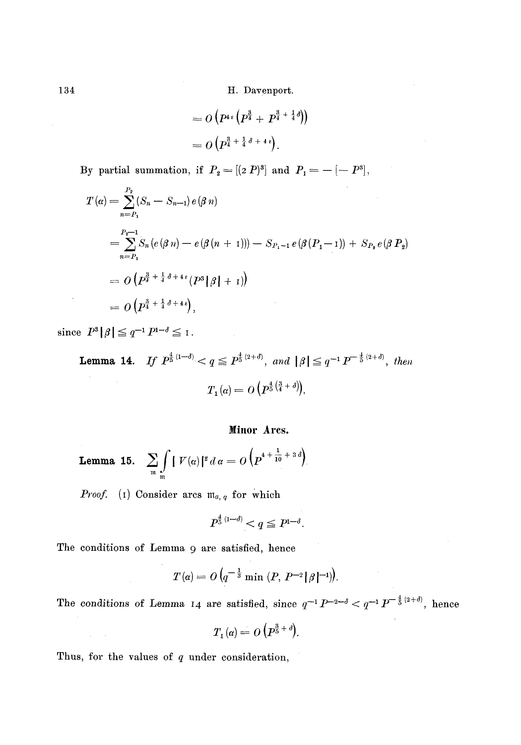$$
=O\left(P^{4\,\epsilon}\left(P^{\frac{3}{4}}+P^{\frac{3}{4}+\frac{1}{4}\delta}\right)\right)
$$

$$
=O\left(P^{\frac{3}{4}+\frac{1}{4}\,\delta+4\,\epsilon}\right).
$$

By partial summation, if  $P_2 = [(2 P)^3]$  and  $P_1 = -[-P^3]$ ,

$$
T(\alpha) = \sum_{n=P_1}^{P_2} (S_n - S_{n-1}) e(\beta n)
$$
  
= 
$$
\sum_{n=P_1}^{P_2-1} S_n (e(\beta n) - e(\beta (n + 1))) - S_{P_1-1} e(\beta (P_1-1)) + S_{P_2} e(\beta P_2)
$$
  
= 
$$
O(P^{\frac{3}{4} + \frac{1}{4} \delta + 4\epsilon} (P^3 | \beta | + 1))
$$
  
= 
$$
O(P^{\frac{3}{4} + \frac{1}{4} \delta + 4\epsilon}),
$$

since  $P^3|\beta| \leq q^{-1} P^{1-\delta} \leq 1$ .

**Lemma 14.** *If*  $P^{\frac{1}{5}(1-d)} < q \leq P^{\frac{1}{5}(2+d)}$ , and  $| \beta | \leq q^{-1} P^{-\frac{1}{5}(2+d)}$ , then  $T_1(\alpha) = O(P^{\frac{4}{5}(\frac{3}{4}+\delta)}).$ 

## Minor Arcs.

**Lemma 15.** 
$$
\sum_{\mathfrak{m}} \int_{\mathfrak{m}} |V(\alpha)|^2 d\alpha = O\left( p^{4 + \frac{1}{10} + 3\delta} \right).
$$

*Proof.* (I) Consider arcs  $m_{a, q}$  for which

$$
P^{\frac{4}{5}\, (1-d)}
$$

The conditions of Lemma 9 are satisfied, hence

$$
T(\alpha) = O\left(q^{-\frac{1}{3}}\min\left(P, P^{-2}|\beta|^{-1}\right)\right).
$$

The conditions of Lemma 14 are satisfied, since  $q^{-1}P^{-2-\delta} < q^{-1}P^{-\frac{4}{5}(2+\delta)}$ , hence

$$
T_{\scriptscriptstyle 1}(\alpha) = O\left(P^{\frac{3}{5} + \delta}\right).
$$

Thus, for the values of  $q$  under consideration,

 $\Delta \sim 100$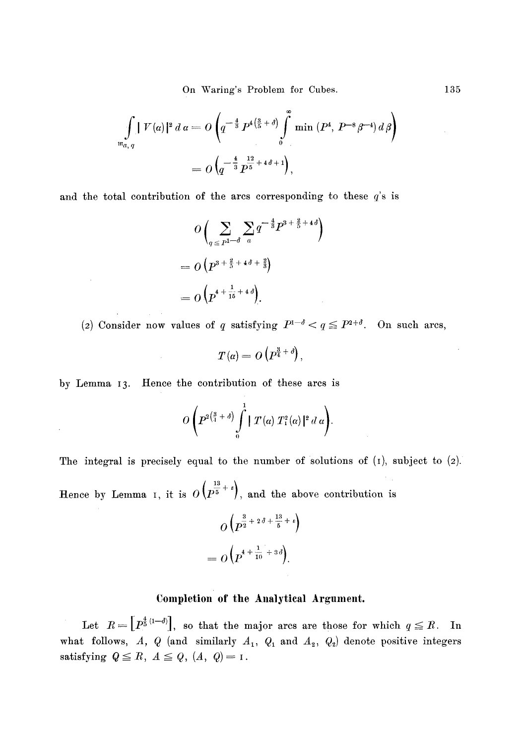On Waring's Problem for Cubes. 135

$$
\int_{\mathfrak{m}_{a,q}} |V(\alpha)|^2 d\alpha = O\left(q^{-\frac{4}{3}} P^{4\left(\frac{3}{5}+\delta\right)} \int_{0}^{\infty} \min (P^4, P^{-8}\beta^{-4}) d\beta\right)
$$

$$
= O\left(q^{-\frac{4}{3}} P^{\frac{12}{5}+4\delta+1}\right),
$$

and the total contribution of the arcs corresponding to these  $q$ 's is

$$
O\left(\sum_{q \leq P^{1-\delta}} \sum_{a} q^{-\frac{4}{3}} P^{3+\frac{2}{5}+4\delta}\right)
$$
  
= 
$$
O\left(P^{3+\frac{2}{5}+4\delta+\frac{2}{3}}\right)
$$
  
= 
$$
O\left(P^{4+\frac{1}{16}+4\delta}\right).
$$

(2) Consider now values of q satisfying  $P^{1-\delta} < q \leq P^{2+\delta}$ . On such ares,

$$
T(\alpha) = O\left(P^{\frac{3}{4} + \delta}\right),
$$

by Lemma 13. Hence the contribution of these ares is

$$
O\left(P^{2\left(\frac{3}{4}+\delta\right)}\int\limits_{0}^{1} |T(\alpha) T_{1}^{2}(\alpha)|^{2} d\alpha\right).
$$

The integral is precisely equal to the number of solutions of  $(I)$ , subject to  $(2)$ .

Hence by Lemma I, it is  $O\left(p^{\frac{13}{5} + \epsilon}\right)$ , and the above contribution is

$$
O\left(p^{\frac{3}{2}+2\delta+\frac{13}{5}+\epsilon}\right)
$$

$$
=O\left(p^{4+\frac{1}{10}+3\delta}\right).
$$

## Completion of the Analytical Argument.

Let  $R = \left[ P^{\frac{4}{5}(1-d)} \right]$ , so that the major arcs are those for which  $q \leq R$ . In what follows, A, Q (and similarly  $A_1$ ,  $Q_1$  and  $A_2$ ,  $Q_2$ ) denote positive integers satisfying  $Q \leq R$ ,  $A \leq Q$ ,  $(A, Q) = I$ .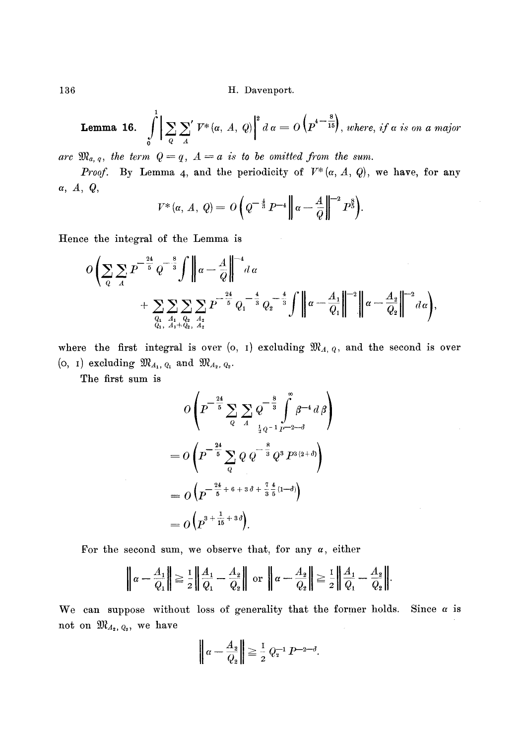**Lemma 16.** 
$$
\int_{0}^{1} \left| \sum_{Q} \sum_{A}^{\prime} V^*(\alpha, A, Q) \right|^2 d\alpha = O\left( p^{4-\frac{8}{15}} \right), where, if \alpha is on a major
$$

arc  $\mathfrak{M}_{a,q}$ , the term  $Q=q$ ,  $A=a$  is to be omitted from the sum.

*Proof.* By Lemma 4, and the periodicity of  $V^*(\alpha, A, Q)$ , we have, for any *a,A,Q,* 

$$
V^*(\alpha, A, Q) = O\left(Q^{-\frac{4}{3}} P^{-4} \| \alpha - \frac{A}{Q} \|^{-2} P^{\frac{8}{3}}\right).
$$

Hence the integral of the Lemma is

$$
O\left(\sum_{Q}\sum_{A}P^{-\frac{24}{5}}Q^{-\frac{8}{3}}\int\left\|\alpha-\frac{A}{Q}\right\|^{-4}d\alpha + \sum_{\substack{Q_1,\ A_1,\ Q_2,\ A_2}}\sum_{\substack{A_2,\ A_2}}P^{-\frac{24}{5}}Q_1^{-\frac{4}{3}}Q_2^{-\frac{4}{3}}\int\left\|\alpha-\frac{A_1}{Q_1}\right\|^{-2}\left\|\alpha-\frac{A_2}{Q_2}\right\|^{-2}d\alpha\right),
$$

where the first integral is over (o, I) excluding  $\mathfrak{M}_{A, Q}$ , and the second is over (o, i) excluding  $\mathfrak{M}_{A_1, Q_1}$  and  $\mathfrak{M}_{A_2, Q_2}$ .

The first sum is

$$
O\left(P^{-\frac{24}{5}} \sum_{Q} \sum_{A} Q^{-\frac{8}{3}} \int_{\frac{1}{2}Q^{-4}}^{\infty} d\beta\right)
$$
  
= 
$$
O\left(P^{-\frac{24}{5}} \sum_{Q} Q Q^{-\frac{8}{3}} Q^3 P^{3(2+\delta)}\right)
$$
  
= 
$$
O\left(P^{-\frac{24}{5} + 6 + 3\delta + \frac{7}{3}\frac{4}{5}(1-\delta)}\right)
$$
  
= 
$$
O\left(P^{3 + \frac{1}{15} + 3\delta}\right).
$$

For the second sum, we observe that, for any  $\alpha$ , either

$$
\left\|\alpha-\frac{A_1}{Q_1}\right\| \geq \frac{1}{2}\left\|\frac{A_1}{Q_1}-\frac{A_2}{Q_2}\right\| \text{ or }\left\|\alpha-\frac{A_2}{Q_2}\right\| \geq \frac{1}{2}\left\|\frac{A_1}{Q_1}-\frac{A_2}{Q_2}\right\|.
$$

We can suppose without loss of generality that the former holds. Since  $\alpha$  is not on  $\mathfrak{M}_{A_2, Q_2}$ , we have

$$
\left\|\alpha - \frac{A_2}{Q_2}\right\| \ge \frac{1}{2} Q_2^{-1} P^{-2-\delta}.
$$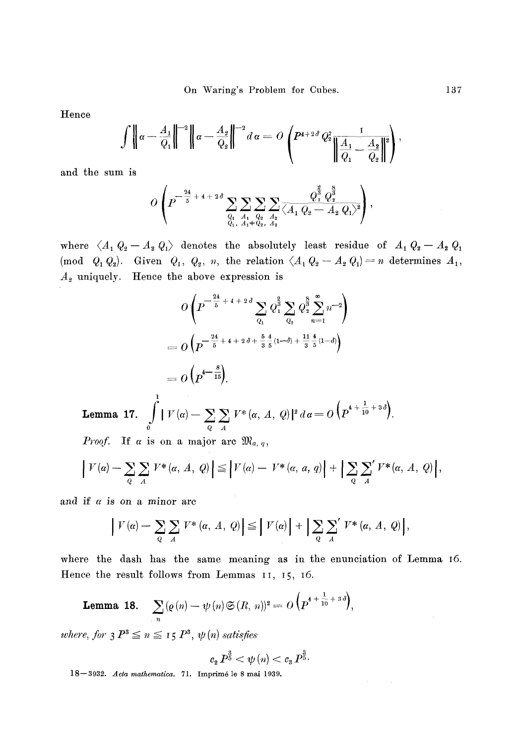Hence

$$
\int \left\| \alpha - \frac{A_1}{Q_1} \right\|^{-2} \left\| \alpha - \frac{A_2}{Q_2} \right\|^{-2} d\alpha = O \left( P^{4+2\delta} Q_2^2 \frac{1}{\left\| \frac{A_1}{Q_1} - \frac{A_2}{Q_2} \right\|^2} \right),
$$

and the sum is

$$
O\left(P^{-\frac{24}{5} + 4 + 2\delta}\sum_{\substack{Q_1\\Q_1, A_1 + Q_2, A_2}}\sum_{\substack{A_2\\A_2}}\sum_{\substack{A_2\\A_2}}\frac{Q_1^{\frac{3}{2}}Q_2^{\frac{8}{3}}}{\left\langle A_1\ Q_2 - A_2\ Q_1 \right\rangle^2}\right),
$$

where  $\langle A_1 \ Q_2 - A_2 \ Q_1 \rangle$  denotes the absolutely least residue of  $A_1 \ Q_2 - A_2 \ Q_1$  $(\text{mod } Q_1 Q_2)$ . Given  $Q_1, Q_2, n$ , the relation  $\langle A_1 Q_2 - A_2 Q_1 \rangle = n$  determines  $A_1$ ,  $A_2$  uniquely. Hence the above expression is

$$
O\left(P^{-\frac{24}{5}+4+2\delta}\sum_{Q_1}\overline{Q}_1^{\frac{2}{3}}\sum_{Q_2}\overline{Q}_2^{\frac{8}{3}}\sum_{n=1}^{\infty}n^{-2}\right)
$$
  
= 
$$
O\left(P^{-\frac{24}{5}+4+2\delta+\frac{5}{3}\frac{4}{5}(1-\delta)+\frac{11}{3}\frac{4}{5}(1-\delta)}\right)
$$
  
= 
$$
O\left(P^{4-\frac{8}{15}}\right).
$$

**Lemma 17.**  1  $\int |V(\alpha) - \sum_{i} \sum_{j} V^{*}(\alpha, A, Q)|^{2} d\alpha = O\left(P^{4+\frac{1}{10}+3\delta}\right).$ o q  $A$ 

*Proof.* If a is on a major arc  $\mathfrak{M}_{a, q}$ 

$$
\left|V(\alpha) - \sum_{Q} \sum_{A} V^*(\alpha, A, Q)\right| \leq \left|V(\alpha) - V^*(\alpha, a, q)\right| + \left|\sum_{Q} \sum_{A} V^*(\alpha, A, Q)\right|,
$$

and if  $\alpha$  is on a minor arc

$$
\left|V(\alpha) - \sum_{Q} \sum_{A} V^*(\alpha, A, Q)\right| \leq \left|V(\alpha)\right| + \left|\sum_{Q} \sum_{A} V^*(\alpha, A, Q)\right|,
$$

where the dash has the same meaning as in the enunciation of Lemma I6. Hence the result follows from Lemmas 11, 15, 16.

**Lemma 18.** 
$$
\sum_{n} (\varrho(n) - \psi(n) \mathfrak{S}(R, n))^2 = O\left(P^{4 + \frac{1}{10} + 3\delta}\right),
$$

*where, for*  $3 P^3 \le n \le 15 P^3$ ,  $\psi(n)$  satisfies

$$
c_{2}P^{\frac{3}{5}}<\psi\left( n\right)
$$

18--3932. *Aeta mathematica.* 71. Imprim6 le 8 mai 1939.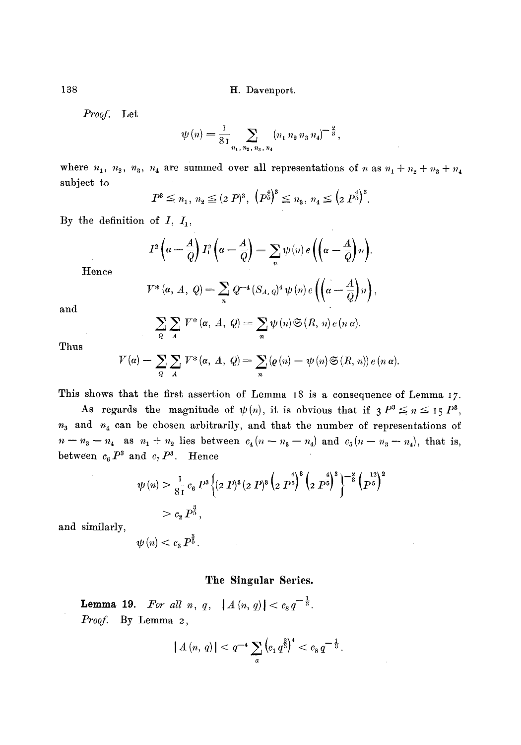*Proof.*  Let

$$
\psi(n) = \frac{1}{81} \sum_{n_1, n_2, n_3, n_4} (n_1 n_2 n_3 n_4)^{-\frac{2}{3}},
$$

where  $n_1, n_2, n_3, n_4$  are summed over all representations of n as  $n_1 + n_2 + n_3 + n_4$ subject to

$$
P^3 \leq n_1, n_2 \leq (2\ P)^3, \ (P^{\frac{4}{5}})^3 \leq n_3, n_4 \leq (2\ P^{\frac{4}{5}})^3.
$$

By the definition of  $I, I_1$ ,

$$
I^{2}\left(\alpha-\frac{A}{Q}\right)I_{1}^{2}\left(\alpha-\frac{A}{Q}\right)=\sum_{n}\psi(n)e\left(\left(\alpha-\frac{A}{Q}\right)n\right).
$$

Hence

$$
V^*(\alpha, A, Q) = \sum_n Q^{-4} (S_{A,Q})^4 \psi(n) e\left(\left(\alpha - \frac{A}{Q}\right)n\right),
$$

and

$$
\sum_{Q} \sum_{A} V^*(\alpha, A, Q) = \sum_{n} \psi(n) \mathfrak{S}(R, n) e(n \alpha).
$$

Thus

$$
V(\alpha) - \sum_{Q} \sum_{A} V^*(\alpha, A, Q) = \sum_{n} (Q(n) - \psi(n) \mathfrak{S}(R, n)) e(n \alpha).
$$

This shows that the first assertion of Lemma 18 is a consequence of Lemma 17.

As regards the magnitude of  $\psi(n)$ , it is obvious that if  $P^3 \leq n \leq 15 P^3$ ,  $n_3$  and  $n_4$  can be chosen arbitrarily, and that the number of representations of  $n-n_3-n_4$  as  $n_1+n_2$  lies between  $c_4(n-n_3-n_4)$  and  $c_5(n-n_3-n_4)$ , that is, between  $c_6P^3$  and  $c_7P^3$ . Hence

$$
\psi(n) > \frac{1}{81} c_6 P^8 \left\{ (2 P)^8 (2 P)^8 \left( 2 P^{\frac{4}{5}} \right)^8 \left( 2 P^{\frac{4}{5}} \right)^8 \right\}^{-\frac{2}{3}} \left( P^{\frac{12}{5}} \right)^2
$$
  
>  $c_2 P^{\frac{3}{5}},$ 

and similarly,  $\psi(n) < c_n P^{\frac{3}{5}}$ .

#### **The Singular Series.**

**Lemma 19.** For all n, q,  $|A(n, q)| < c_s q^{-1}$ *Proofi* By Lemma 2,

$$
|A(n, q)| < q^{-4} \sum_{a} \left( c_1 q^{\frac{3}{3}} \right)^4 < c_8 q^{-\frac{1}{3}}.
$$

138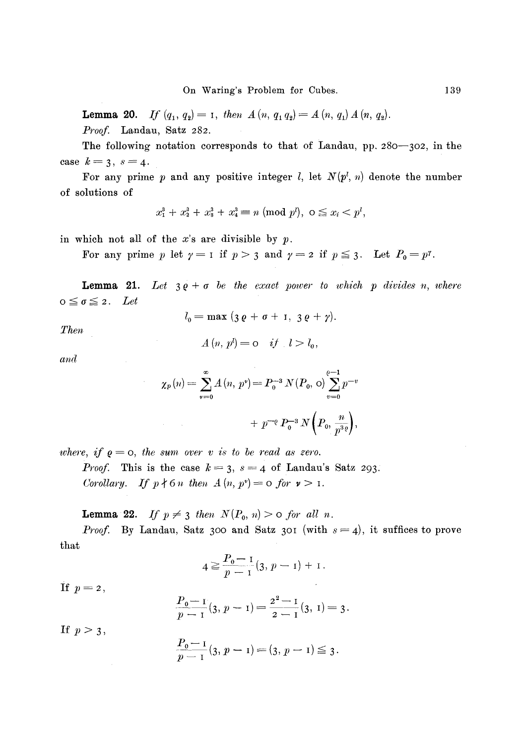**Lemma 20.** *If*  $(q_1, q_2) = 1$ , then  $A(n, q_1 q_2) = A(n, q_1) A(n, q_2)$ . Proof. Landau, Satz 282.

The following notation corresponds to that of Landau, pp. 280-302, in the case  $k=3, s=4$ .

For any prime p and any positive integer  $l$ , let  $N(p^l, n)$  denote the number of solutions of

$$
x_1^3 + x_2^3 + x_3^3 + x_4^3 \equiv n \pmod{p^l}, \ 0 \le x_i < p^l,
$$

in which not all of the  $x$ 's are divisible by  $p$ .

For any prime p let  $\gamma = 1$  if  $p > 3$  and  $\gamma = 2$  if  $p \le 3$ . Let  $P_0 = p^{\gamma}$ .

**Lemma 21.** Let  $3\varrho + \sigma$  be the exact power to which p divides n, where  $o \leq \sigma \leq 2$ . Let

$$
l_0=\max (3\,\varrho+\sigma+1,\ 3\,\varrho+\gamma).
$$

*Then* 

$$
A(n, pl) = o \quad \text{if} \quad l > l_0,
$$

*and* 

$$
\chi_p(n) = \sum_{v=0}^{\infty} A(n, p^v) = P_0^{-3} N(P_0, o) \sum_{v=0}^{e-1} p^{-v}
$$
  
+  $p^{-e} P_0^{-3} N(P_0, \frac{n}{p^{3e}}),$ 

*where, if*  $\varrho = 0$ *, the sum over v is to be read as zero.* 

*Proof.* This is the case  $k = 3$ ,  $s = 4$  of Landau's Satz 293. *Corollary.* If  $p \nmid 6n$  then  $A(n, p^{\nu}) = 0$  for  $\nu > 1$ .

**Lemma 22.** *If*  $p \neq 3$  *then*  $N(P_0, n) > 0$  *for all n.* 

that *Proof.* By Landau, Satz 300 and Satz 301 (with  $s = 4$ ), it suffices to prove

$$
4 \geq \frac{P_0 - 1}{p - 1} (3, p - 1) + 1.
$$

If  $p=2$ ,

$$
\frac{P_0-1}{p-1}(3, p-1) = \frac{2^2-1}{2-1}(3, 1) = 3.
$$

If  $p>3$ ,

$$
\frac{P_0-1}{p-1}(3, p-1)=(3, p-1)\leq 3.
$$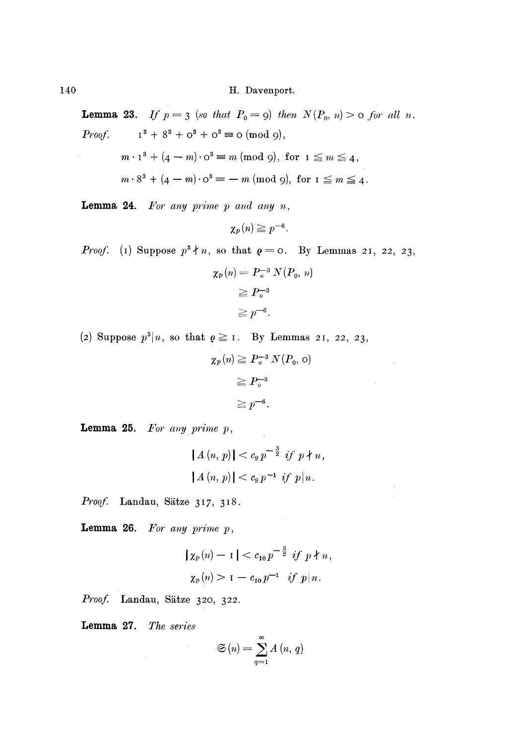**Lemma 23.** If  $p = 3$  (so that  $P_0 = 9$ ) then  $N(P_0, n) > 0$  for all n. Proof.  $1^3 + 8^3 + 0^3 + 0^3 \equiv \text{o} \pmod{9},$ 

$$
m \cdot 1^3 + (4 - m) \cdot 0^3 \equiv m \pmod{9}, \text{ for } 1 \leq m \leq 4,
$$
  

$$
m \cdot 8^3 + (4 - m) \cdot 0^3 \equiv -m \pmod{9}, \text{ for } 1 \leq m \leq 4.
$$

Lemma 24. *For any prime p and any n,* 

$$
\chi_p(n) \geq p^{-6}.
$$

*Proof.* (1) Suppose  $p^3 \nmid n$ , so that  $q = 0$ . By Lemmas 21, 22, 23,

$$
\chi_p(n) = P_0^{-3} N(P_0, n)
$$
  
\n
$$
\ge P_0^{-3}
$$
  
\n
$$
\ge p^{-6}.
$$

(2) Suppose  $p^3|n$ , so that  $\varrho \ge 1$ . By Lemmas 21, 22, 23,

$$
\chi_p(n) \ge P_o^{-3} N(P_o, o)
$$
  
\n
$$
\ge P_o^{-3}
$$
  
\n
$$
\ge p^{-6}.
$$

**Lemma 25.** For any prime  $p$ ,

$$
|A (n, p)| < c_9 p^{-\frac{3}{2}} \text{ if } p \nmid n,
$$
  

$$
|A (n, p)| < c_9 p^{-1} \text{ if } p | n.
$$

Proof. Landau, Sätze 317, 318.

**Lemma 26.** For any prime  $p$ ,

$$
|\chi_p(n)-1| < c_{10} p^{-\frac{3}{2}} \text{ if } p \nmid n,
$$
\n
$$
\chi_p(n) > 1 - c_{10} p^{-1} \text{ if } p \mid n.
$$

*Proof.* Landau, Sätze 320, 322.

Lemma 27. *The series* 

$$
\mathfrak{S}\left(n\right) = \sum_{q=1}^{\infty} A\left(n, q\right)
$$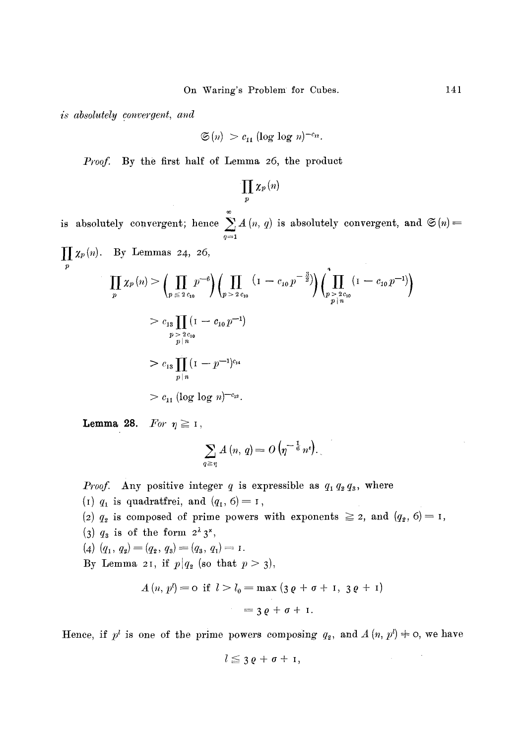*is absolutely convergent, and* 

$$
\mathfrak{S}(n) > c_{11} \left( \log \log n \right)^{-c_{12}}.
$$

*Proof.* By the first half of Lemma 26, the product

$$
\prod_{p}\chi_{p}\left( n\right)
$$

or is absolutely convergent; hence  $\sum A(n, q)$  is absolutely convergent, and  $\mathfrak{S}(n)$ = *q== l* 

$$
\prod_{p} \chi_{p}(n). \text{ By Lemmas 24, 26,}
$$
\n
$$
\prod_{p} \chi_{p}(n) > \left(\prod_{p \leq 2} p^{-6}\right) \left(\prod_{p > 2} \left(1 - c_{10} p^{-\frac{3}{2}}\right) \left(\prod_{p > 2} \left(1 - c_{10} p^{-1}\right)\right)\right)
$$
\n
$$
> c_{13} \prod_{p \mid n} (1 - c_{10} p^{-1})
$$
\n
$$
> c_{13} \prod_{p \mid n} (1 - p^{-1})^{c_{14}}
$$
\n
$$
> c_{15} \prod_{p \mid n} (1 - p^{-1})^{c_{14}}
$$
\n
$$
> c_{11} (\log \log n)^{-c_{12}}.
$$

**Lemma 28.** *For*  $\eta \geq 1$ ,

$$
\sum_{q \geq \eta} A(n, q) = O\left(\eta^{-\frac{1}{6}} n^e\right).
$$

*Proof.* Any positive integer q is expressible as  $q_1 q_2 q_3$ , where (I)  $q_1$  is quadratifrei, and  $(q_1, 6) = 1$ , (2)  $q_2$  is composed of prime powers with exponents  $\geq$  2, and  $(q_2, 6) = 1$ , (3)  $q_3$  is of the form  $2^{\lambda} 3^{\mu}$ , (4)  $(q_1, q_2) = (q_2, q_3) = (q_3, q_1) = r.$ By Lemma 21, if  $p|q_2$  (so that  $p > 3$ ),  $A(n, p) = 0$  if  $l > l_0 = \max(3p + q + 1, 3p + 1)$ 

$$
L(n, p^2) = 0 \text{ if } l > l_0 = \max (3 \varrho + \sigma + 1, 3 \varrho + 1)
$$
  
= 3 \varrho + \sigma + 1.

Hence, if  $p^l$  is one of the prime powers composing  $q_2$ , and  $A (n, p^l) \neq o$ , we have

$$
l\leq 3\,\varrho+\sigma+1,
$$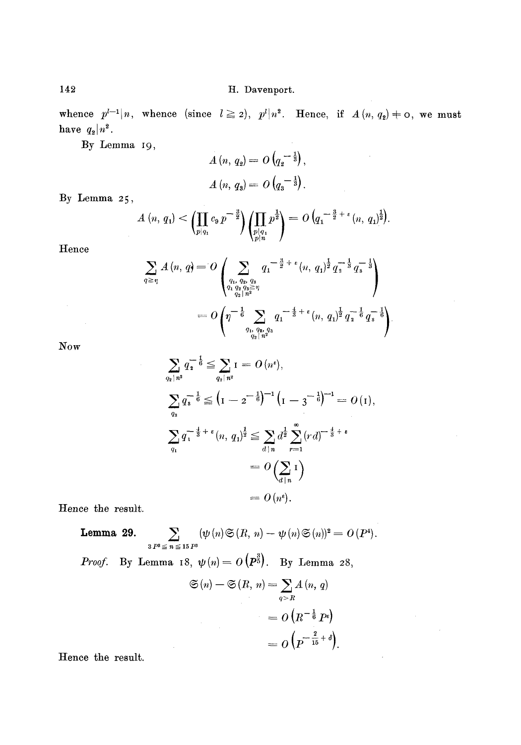whence  $p^{t-1}|n$ , whence (since  $l \ge 2$ ),  $p^l |n^2$ . Hence, if  $A(n, q_2) \ne 0$ , we must have  $q_2 | n^2$ .

By Lemma I9,

$$
A(n, q_2) = O(q_2^{-\frac{1}{3}}),
$$
  

$$
A(n, q_3) = O(q_3^{-\frac{1}{3}}).
$$

By Lemma 25,

$$
A(n, q_1) < \left(\prod_{p|q_1} c_p p^{-\frac{3}{2}}\right) \left(\prod_{\substack{p|q_1\\p|n}} p^{\frac{1}{2}}\right) = O\left(q_1^{-\frac{3}{2}+\epsilon}(n, q_1)^{\frac{1}{2}}\right).
$$

Hence

$$
\sum_{q \geq \eta} A(n, q) = O\left(\sum_{\substack{q_1, q_2, q_3 \\ q_1 q_2 q_3 \geq \eta \\ q_2 | n^2}} q_1^{-\frac{3}{2} + \epsilon} (n, q_1)^{\frac{1}{2}} q_1^{-\frac{1}{3}} q_3^{-\frac{1}{3}}\right)
$$
  
= 
$$
O\left(\eta^{-\frac{1}{6}} \sum_{\substack{q_1, q_2, q_3 \\ q_2 | n^2}} q_1^{-\frac{4}{3} + \epsilon} (n, q_1)^{\frac{1}{2}} q_2^{-\frac{1}{6}} q_3^{-\frac{1}{6}}\right).
$$

Now

$$
\sum_{q_2|n^2} q_2^{-\frac{1}{6}} \le \sum_{q_2|n^2} 1 = O(n^{\epsilon}),
$$
\n
$$
\sum_{q_3} q_3^{-\frac{1}{6}} \le (1 - 2^{-\frac{1}{6}})^{-1} (1 - 3^{-\frac{1}{6}})^{-1} = O(1),
$$
\n
$$
\sum_{q_1} q_1^{-\frac{1}{3} + \epsilon} (n, q_1)^{\frac{1}{2}} \le \sum_{d|n} d^{\frac{1}{2}} \sum_{r=1}^{\infty} (rd)^{-\frac{4}{3} + \epsilon}
$$
\n
$$
= O\left(\sum_{d|n} 1\right)
$$
\n
$$
= O(n^{\epsilon}).
$$

Hence the result.

**Lemma 29.** 
$$
\sum_{3 P^3 \leq n \leq 15 P^3} (\psi(n) \mathfrak{S}(R, n) - \psi(n) \mathfrak{S}(n))^2 = O(P^4).
$$

*Proof.* By Lemma 18, 
$$
\psi(n) = O(P^{\sharp})
$$
. By Lemma 28,

 $\sim 10$ 

$$
\mathfrak{S}(n) - \mathfrak{S}(R, n) = \sum_{q > R} A(n, q)
$$

$$
= O\left(R^{-\frac{1}{6}} P^{\iota}\right)
$$

$$
= O\left(P^{-\frac{2}{15} + \delta}\right).
$$

Hence the result.

142